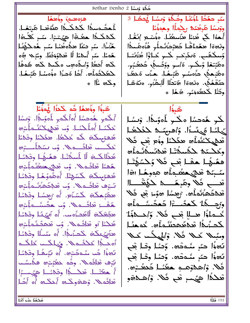Bothar Denho 2 دُكُمْوْ وْبِيْبَا مَمْ حَقَدًا لَمُنْنَا وِحُكُوْ وْبِسُا لْحِمْدَ 3 فزوهموز وؤهغا أَحدُ مِيكُل كَمْكُدُّا هِتَوْمَا هَٰتِهَا. وؤبسا هُرِهُمُمْ رِجِماً! وَجَوَدُنَا لَهْكُمُ حَمْدَةً هِيَّتِيْمِ اشْكُمُ أَهْدًا ﴾ هُزِيًا هزَمههُما. وَوُسْطِ إِنْتُما. هَّئُنُّا. مَّى دَعُلُّا هَدُّەهُنَّا مَّى هُەݣُهُنَّا وتَدها هَمَّمَلُقَّا حَمْ َحُبُّدُهُمْ وُخُومُكُمْا وَسكْفَبٍ. هَنذَبْتَبِ كُبِرٍ كَلَارَةًا هُتُبُسَّل هَٰدَا. مَمْ أَمكِنَا لَٰا مْحَكَوْدُتُا. وتَبْحِد بِهُء لْكُلُّهُ أَتَّعُلُمْ وَٱلْكُلَّةِ مِنْ كُلِّيكُمْ لَكُلَّةٍ ۖ هُدَفُلُ ەھَبْتقا ۇڭىر. ەُسر وۇئىمۇ كَتْمَبْر. للعَلْدُهُ أَو، أَحُلْ هَدْ أَهْ مِنْهَا هَبُّ هُا. ەھْبِعِكْمْ دُوْمِئْسِ هُبُعُهَا. جَنُّفَ ەَجْعَة ولاه عْلَا \* حَنَّفَعُكُمْ. وثَوَّةَا وَّتَطْلَ لَّابِعُنُنِ. وَتَوَّهْـا وكَتُلْم لْكَحْثُووْسُو. ﴿ وَالْعَالَمُ ﴾ - هُرِذًا وِذَهِمًا خُم حُكْرًا لُمُؤْمًا **ئگرؤا** أَلْكُمْ هُوَجِبًا أَوَأَلَكُمْ لِلْمَوَّجَأَا. وْبِيبًا ﯩﯖـﺮ ﻫﻪﺣﯩ*ﯩﻠ* ﻩﯕـﺮ ﺃﻩﯗﯨﺪ*ﺍ. ﯞﯨ*ﯩ*ﯩﻠ* تَعَكَّبُ أَمَلَّكْتُ وَ تَعْمِيكُنَّا أُمُّونَ لَكُمُكُمْ مُهْمِهَا وَالْمَسْرِهَ لِمَالِئِ مُدَّمِيكَة لَّد مُكْمًا. مِكَكْنًا وَتَمْتُلُ مْحَمِيكْنُفْلُه مْكَكْنَا وِوُمْ بْمِي فُلا تْكَــْـبْ قْلِقْــْـمْلَا. وُبْ بِسُلْمُ يَــْرُو وكلكت للأسأنشأ شحائسأنقاه مُحْلَلِكُــة لَّا لِمَــدُّتْـا. فَمَّـدُّــا وَذَٰهُــا فَمَنْهَا هَفَا بْنِي ثُلاَ وَحْسَنُهْنَا هَدَا مْاِدُه ١٨. وُ مْدْيٌ مِعْنُدِيْمِهِ اةًا لمُعْجِمِعِ مِلْمِيسِهِمْ مِهْمِ السَّامِعِينَ مِنْ الْمَحْمِدِينَ مِنْ الْمَحْمِدِينَ مِنْ الْ هُدْمِهِكُوْ كَتَنْهَتْلْ. أُهْهُوُهُا وَثَمْنَا قب فُلا وهُرِمُكُ لاَ كُوُفْ ال سَّبْرِفَ هَارَشُنْمَالًا. وُبِ هُلِإِيكُمْ أَشْرَاهُ مِنْ الْجَرْ هُدۡكُمۡاُنُدَاءٌ. ۚ وَهِـنُا مَوۡنَۃٌ مِّع ۖ قُلا هكترهكة لكسَّنون أه وهسا وشهدا وَرَْحِـــدًا، كَــْمَـَــــْزَا خَـعَـَـْـشَـــهِلْ10 هَفْ: مْلِكُـمِلًا. وُبِ هِضُبْئَــولُمْ10 مدَحْدَكَ فَاهُدِّوْمِي. أَوْ أَيَّكَنَا وِضْمَـُـا تُحْدَدُوا هَبْلاً قِيمٍ ثَلاً. وَأَحْدَدُوَٰٓاً: هَٰكُمُا ٱو هَاضُمگا. وُٮ هُتَعَصَّنُم}َيْرَة كْحِبُّكْلْ شْدْهُدْمْتْتْمْلُرْهِ. يُدْهِنْل هلَكِيكَة لْكَسَبُّمْ!. أَه مَمْلًا وِثْمَمْا وسَبِيلًا كَمِيلًا ثَلًا. وْالْمِيلُبِ كَمِيلًا أەخىمُ! كَحْشُمْهِ. وَيَالِكُتْ كَالْحُسْمَ ئَهوَٰا حَبۡ مُنۡءَدۡهِ. وَۡصُلۡ وَصۡلَٰٓ هَٰٓب تَهوُّا حُب مُتَوَجَّدَهِ. أَو تَبُنَقُنَا وَثَمْتُنَا ئَھوُّا حَبَّ مُّـُـمْدُھ. وِّحْـُـا وِتْـا قِـّع بَّدٍ مَادُه بَلا. ودُه حمَّرُ ثَنَّ مَا مَدَّسَ ثُلًا. وَاهِلْأَوْهِبِ حَقَّصًا خَلَقَـٰٓءٍ هِ. أَ حكَتْــا. تَعْـــــــهُا وَشَمْـُــا هِيَجِــــزِا مْكِدًا هِيُمِ مْنِي فُكْ. وْاهِكْلْتُومْ مْلِنُما، وْهِوْمِكْلُو أُحكُنُو أُو أُحُلِّ

مَحْدُمُا حَبَّ أَأَتَا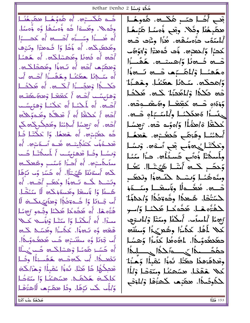Eothar Denho 2 دَيْمَة وَسَلَّا كُــه هُكْــــرْ». أَه هُوُهُــا مِعَرِهُـلَــا بْھَے أُصُّل حمَّے هُدُّده. هُوجِعُل وثَملاً. ومَّنْتَهَ أَنَّهُ وُمْتُقَلَّمُ وُهُ وُمْتُلًا. هكَبِهُلُا وثَلا. وقِي وْمِسْا هَبُسْاً أَه هُـــزًا وِـَـــزَه أَحْــــره أَه كحــــرًا ٱلمَمَّمَد حَزْهِمُهُوهِ. هُٰذَا وَغْفَ حَـهِ وهُدهَٰدِكُلُه. أَه ذَكُل وَا ثَـٰءَدْ:َا وِنَـٰٓ؛ كُحِرًا وَ}حَمْرَهِ. وَُحد خُومِيَّا وَ}وَهَب آخره اْه دُرەمُا وهُدىشالْحْرە. اْه هُڪْل تَــــه تُـــهلًا وَاهْتَـــه. ـمُقَـــزًا وْهِكْتُ أَدْهُ أَهْ شُهْوًا وَهُدَخَالَكُ، |مَعْصُلُ وْالْمَــرَمْ شَــْهِ نَــْهُوْا أَه سَبِيْلَا حِكَمْنُهِ وِهَقَبْهُ أَنْهُ أَنْ أَوَّاهِدَهُ، مَكَّلًا هِعَّنُيًا. وهُدَّنُدُ كَنْتُ وَالْمُحَمَّرُ الْكُنْدُو. أَو مُنْتَخُطْ دْه كَكْݣَا وْالْمُحَبّْلْ ݣْـه. مُحْدّْلْ وْهِبُمُسَا أَشْدَهُ أَ كَتَعْتَقَا وْهَدْهَ حَكْسَدُه وُوْكَاهِ شَـــهِ كَمِّنْتُشَـــا وِهَٰى مَثْلَـــهِ شَهِ. أَصْـِي. أَو لَمَكْنَا أَو تَكْنُا وْفَوْجِسْت حصَدُا وَالْمَسْهَدَا، وَالْمَسْهَدِهِ وَالْمَسْرِمِ أَدْهِ أَ يُمْكَنَّا أَه أَ شَمْلُكُمْ وَهُدِوَكِلْاَهِ لُمَحْتَغَلَ وَاهْتُمَلَّا وَاوَوُحَ دَهِ. وَهِسْمَا أَدْهِ. أَهْ رَهِيمًا أَجْمِيْنَا وِهُدِكْرِجْهِ كَمْ كُم حمدٌ تِره. أو حَصَمًا. وَا تَحكْتَا دُا أمكلئا وفزهّب خُدهُــثره. هَعهُــا مْحَدَّقُو كَتْتُكِيِّدُ مَنْ مُدَّ ٱسْمَٰرْهِ. أَهْ وتَكْتُبْلَىٰ وَقِّبٍ قِبِي ٱسْتَوْهِ. وْسِسُلْ وْسَمَّا وَضًا مْحَمَّدِّت أَ أَسَلَّتْا كُت وِلَمِيكُنَّا وُهَّبٍ ضَيِّبُلُهِ. جِزَٰا مِّنْبَا سأبلأتهم أو أحبأا ومئب وهعكته وَحدً ۚ ذَلِهِ أَسْلِ هَيۡشَالَ عَمَٰا ۖ مَعۡدَ لَّكُمْ أَسْتَ*اتْلَا هَيُ*تَأَلَّا. أَهْ كُسِّرْ وُبِ تَرْفَلُ ومثَوهُما وَبِسْبِهِ جَنَبُوذًا وتَحَفَّ وِنَسْمَ كُنْ سُلْمَوْا وِيُحْكَنِ أَحْسُنَ أَهْ حْـــره. مُعمُّـــهلًا ووُّمعْـــــل ومَّــــهُوْ هَسْلَا وَا وَّسِعْلِ وهُسَوْدِكُمْ لَّا سَنُتْدِلْ لكْمَنْتْحَا. هُىعْدُا وِحُووْدُدًا وَٱحْدَوْلَا: أَبِ جَـٰرِيًا وَا خُـِدوَدُدًا وَمِدَنِيَ بِكَـٰ بَهِ لَل لحَفُّوْهِـا. هَخُوجُـا هَٰلَـٰـا وَاٰـــبِ قُتُّوهَا. أَو مَحْدَدُا مَكْنَا وَجُدو رَهِنَا أَرْجِعًا ٱلْمُسَلَّفِ. ٱمْكُنَّا وِمَنْنَا وْٱلْمُسْوَى مِيزًا. أَو أَيْكُنَا وَا يَتَنَا وَاؤْتِي كَتَلَا فْعْدِهِ وُهِ سُهِوُلْ كَلَّكْتُوْلُ وَهُنَّسُلًا كَلَّهِ كَمِلًا لَمُؤَلَّدٍ كَذَّبَٰوْا وَهُم كَهِدًا وَسِيْتُهِ أَبْ ثِلاَنَا وُهِ مِيسَّتَرْهِ شَبْ هَٰذِهَٰدُوَٰجُواْ. حعَكعثُدوَّىدًا. لمَرْدُهمْل كَلَّمْرًا وَهِسُل أَه كُسِّ; هَٰهُـُـا وْهِـتْىلِكْـهِ كُــا كُلْمَـا الْمَاكِ الْمُكْتَ حَدَّلًا مِنْ الْمُسْتَحْمَد تَكْعِبْدًا. أَبْ يَكْرَوْنَـْ مَا هَفَسْهَدًا وَضُلَّ |وثَعِدْفَزِهِدُا حِمَّتُا. ثَوْزًا عُفْرِاً! وَحَيْرًا: مْحِكْهَا حَا مَّتْا. نُوزًا عْفَرِلًا وَحْرَاحَة كَلًّا هَقَدًا. مِنْتَهِتُنَا مِنْقَضًا وَٱلْمَا كَلِكُــْ هَكْكُــْدْ. مِسْعِنْتُـْ وَا سَوَحُـا لِكُمُوصَّدًا. مِحَبَّمٍ لِكُمْتُوصَّا وْالْمَوْصَ وَٰآٰٓہاۡب کُٹ سَّٖوۡظًا. وِظۡا مِنفَہُما لَّاھۃُوْھَا

مُحَدُّمًا حَبَّرِ ٱلْمَالِّ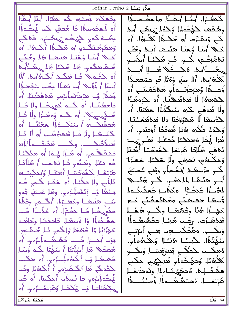Bothar Denho 2 دَكَمْوْ وَسُلَّا كَحْمَدُ إِنْ أَمِنًا أَيْمُ زَٰا هِ أُحْشُدْ مِمْا وتَعكَّده ووَعْدَه كُمْ حَقَّرًا. أَمَّا أَحَدُّا أَه لمُحدَّد اللهُ اللهُ مَحدٌ لَمَنْ لَمَنْ الْمُحَدِّلُ مِنَّ مِصْرَةٍ لِمَكْمٍ الْمَشْرَكَ حَقَّفَهِ مِنْ الْمَسْتَمَرِ وهُسْتْكُمْ لْكَيْفُ يْ بِمُعْكَبِ. فْكَكَّب كُم وَبِمَـٰٓءَت أَه مْكَـٰهُا لَكَـٰهُا. أَه وْمِحَرِمَىتَكَـٰءِ ۖ أَه مْكَـٰهَا أَكْـٰهَا. أَه كَتَلًا أَمِثًا وُهِنًا هِنَيْتِ أَبِيا وَهْبً كَــلا أَسَـٰا وُـقتَـا هِنَمُـا هَا وِهُسَـٰ ثكاهَٰزَشُمِ لِكُــرٍ. ضَـرِ هَٰكِـُـا أَيكَٰنــرِ هُمَدَّمِهِمِ \$1 هَكْمُ أَمَا يُمْكَنُّ أَمَّا بِعَكْمَٰذُ أَمَا حِكْمِــأَلْمِــدُّ هُــــقَــلَا هُـــلا أَبـــدُ أَه حَدَّـه لاَ حُـل هُكّــم أَكْــهُ أَسْ. أَلْل | كَلاُهُ/بِــدْ. أَلَّا سِبَّ وُهَتُا كَـرٍ حسْحِصْدًا أَمِيلًا أَ وَالَكَلا أَبِ تَعَلَّلَا وِجَبَ مِبْقِعَةًا وَّحـــدًّا وَهرَّحَزُنَـــملُـرٍ هُـدَحَّصْنَــع أَه وَّحكُمْ وَّب مرَّجَزُنُمْ أُخْوِمٍ مَحْكَضَنَا. أُه لِكَمْعِيمًا لَّا مْحَاهَدْتُنَا. أَو كَبُوهُـٰٓ;ا دْامحمَّىئَــا. أَه لَكَــم نُحمِيحُــا ولًا حُــا وِلًا هَدفَ ۚ ذَلِهِ مَمْكُثُماً مَعَنُنَا. أَه مُعطِّيحِيكا . أَه كُــه وُهمُدُا ولَا حُــا ِّ حَتَّمِيْ الْمَلَّامِ وَحَيْرًا وَلًا مُحَامَّدَ مُنْهَدُ أَل مَحفَظَ مِ أَيْتَكُمْ أَلِ هِمَيْتَ لِ أَو وَحْدُا ثُكْمَ هُنُا شُدِدُا أَوْتِئُم. أَه كَتُمِيمْا وِلًا ضُا مْدِهُمَّب أَه لًا ضُا هُدُا لَمِحًا هَحكَكْمًا حَصْنُـا. هَنُــرِ يَ ـــــز مُعِدْكُمُكْسِ، وكُسْسِهِ مُحَمَّشُوبُهُ وَأَرَابِهِ ىُدْهَى هَٰلَاتْا هَ ۡتَمَا ۖ كَـٰهُوتَـٰمَا أَهُتَنَا ۖ تَعفَلانُم، أَه هُـزُا هُـهُ! أَه محَكْنًا. |وَحكْمِدُهِ لَحِدَّى وِلَا هَكْمًا. هُڪَنَا. ثُه دسُّا. ومُعنُّوب ضُا نُمْهُـب أَ هَٰللَّٰتِـا لْحُمِ حَبْمِعَكُمْ إِنْشُمْلُو وِبْحَى شُمْمَةً هُبْتَهْـا كَـقُودْشَـا أَهُتْنَـا وَاحكِبْتــه أَسر هنُمُا الْمُحقَّبِ. كُـرِ هُئَـــلا دُللِّب ولًا مكْتا. أَه حَفْۃ كُـٰه و خُـُّ المُمْــزُا حَدحُــٰٓزَا. وكَذُب حَمقَـٰذَـٰهِ ا وْمُعَدَّا وُبِ إِنَّعُهِ أُيُّومِ. وقدا شَمْعُهُ ۖ فُوو أَوَّسِعْدَا مَدْهُمَّى وَمُحَادِّدِهُمَّى كَلْمَ مّب هنّمُا ودُهـــرًا. أكْـــمبر وثَمَّا تَحْهَــُوْا هُنَا وِحْقَقَــا وِكْـــو هُـهُــا حَفَّهَكُم كَمْ حَضَّرْا. أَو حُذَّا كُمُ أَمَّ ِ هَدَّمَةُ إِلَّا وَ تَصِيْدًا. قَاحِدُنَنَا وِكَاهُـهِ هُدهَــزَٰد. رجَّــد هُـٰهَــد احكَــمَـمُدَاْ تَدِيَّ اللَّهُ وَالْحَقَقَدُ وَالْحَمْدِ حُلِّ هُدِهَــَ وَمِنْ وُكْسِر. ەھَتْكْسەھِ بْمَسَى أَعْتِسَى وَوَّى أَحْسَرًا شَّى شَفَّىعْشَــدِيَّامَّوْهِ. أَه مَكْتُدًا. حَبْسُا هَنَـُاا وَحْدُهُءلُب. مَٰٰٓڡَكُمْ مَا أُـبُأَتَنَا أَ عَجُنَا كُـه وَّعُـا أەھكـــا خْتَكَــا بْْسَوْيْتْسَـا وُخْـــر كَثّْمَتْكُمْ وُّب أَبْكُرْهُ مِأْسَرُّهبْ. أَه تَعَكَّسُتْ ݣْلْافْتْا. وُحِهُحْمَلُو هَٰدِيْكِمِ حَكْبِ لْحُفْكُمْ هَا ٱلْحُكْثَوْوِرِ ٱ ٱلْحُدَّةِ وَحَد هكُمُطُـابِـه. هَحقيٌهُـاهلُّا وِنُوحَتُوهَـا يَّىثُمِيَّىمَ وَ الْمَدِّى أَحكْمَا. أَه حَب هُبْتُمْــا. هَدَمُعُمُدُــداًا وُومُئْــمدًّا حِكْتُلاتا وًا يُكْتُا وَهَٰتِمَا وَمَا وَمَنْ الْمَالِيِنِيِّ وَمَا يَقْوَلَ مِنْ أَوْ مَحْدُمُا حَبَّ أَأَتَا

 $\frac{1}{2}$ 154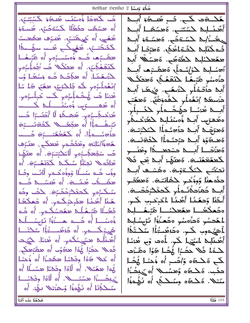Bothar Denho 2 دَكَمْوْ وَسُلَّا كَمْلَـــْ هَد كَـــى. كَـــزٍ هَـلـــةَ فَ أَلِـــِكْمَ كُتْ كُلُوكَا وُوْمُنَتْ هُدِوْوْ كُنْبُتِيْ. ،<br>أە ھى*نىھَ*ب ج*جَعَلْل كىنتو*خى*ت*ى. ھَيىلوُۋ أَهْدُلِهِ حَمَّتَنِ. هُمْنَهْا أَبِهِ مَّدَّمِينَ أَوْ كَيْحَتَّىْ، مَّدَّبِّرْفَ مَعْقَدِيثَ لمِعْسُنُهُمْ لَمَسْتَوَصُّرٍ. هُ هَشْسَهُوْ أَبِيهِ كَنْتُتَبْ. مُمْهِكُمْ مُسْ سَهُسْمُا ثَـهكْنُإِــمْ ـحْثَـتْمْلَاهُـمْ.. هَمْ َصْـَا أُبِــمْ ھكىبُھا ئُــە ۋُەمَئىـــرُەم أَە كَبُنْھُــا همُعلائلِه لمعُنْةمُب. ةهسُلًا أَبِهِ كْنَفْعُكُمْ، أَه محكِّلًا مُّ أَبُّهِ مُمْ وَمَ |أهسُــابِـه لِــُـوْلُهُــه في هَ مَعهَــثِهـ أَبِــه لْخُبُمُتَـٰلِ. أَو مِذْكَّدًا ثُـه وَمُمْكَلٍ وُب دُّەمُب هَٰزُمُهَا حَنَّفَهُمُّ هَمْدَكَــلا إِنْهُمَلَّٰتُومِ لَکُمْ جَلِلْكُمِيَّةِ هَمَّتِي هَٰذَا عَا أَبِهِ حاتَّمَاُمٍ حَتَّمصَى. ۞كَمَدَ أَبِهِ حْتَمِىعَكُمْ إِنْعُمْلُمٍ لِحَقَّدِوْهُمْ. هُمْمَتَحِ أَه هُد رَّبِ، ؤُهنگ اُمِمْ كَسْسَا أَبِ هُنْ الْحَمْدُ وَلَمْ الْأَسْرَابُ هُزِيْدِهِ ۖ وَمِن هُدِيدٌ وَ الْالْمَسْرَا حُبِ ەھّدېب أب1 ۋەمئىللى لمكزىگىلەر تَرْجُدُدُ وَإِلَّا أَوْ مِجَعَدِ لاَ كَحُرْوَنَسْتَرْوَ ەَمْرَجْكُمْ أَبِكُمْ حَلَّهُ شُمْلًا كَمْكْتِتْبُو. دَرُه يَدْما. أَو كَمَعُهُمْ وَ دَلْبَ ەَھـەَوَّە أَبِـــمْ دَءِدَــُــه أَا ــحْدُة تَــــوٰ. هَ وَٱلْمُلْتُهِ وَهْدَشُمْ وَهُدَيْ وَالْمُسْتَامِنَ وَالْمُنْزَى |ةَهَزَٰتَـــا أَبِـــــه حسْتَعَــــداًا وقَتــُـــو كُ مْتّْعِدْلُمْ وَمِرٍ لّْاعْلَاتِهِ ۚ أَه هَدَّىٰ : ݣَـعْمَقْعُنْــة. ەَهنَكَ: أَبِـدْ بْنَى فُلا مْاِدُه لا تَجِتْلُ سُبِّكُ لِكَتَنَعُسَرَه. أُه تَصَنَّنَــع لِمَكْــةَوْمِينَ. وهُـتَسف أُبِــد وؤَّد شُـه مَنْسُلًا وْوِؤْهْنُــهر لَّانَّــد وضُـلّ حثَّمعُلا وُووُّكْبِ حَثْمَاتَـٰتِه. هَمْعَكَـْبِ مدَّسَـــدُّبَ مُدِيَّــــرَة. أَو مَدِيَبَـــدِ هُـــو أَبِيهِ جَعَزُجَهُنُـملُرٖ كَحِنْكَرْجُجْسِـڎ. سَّىكْبُومِ كَحْكَدْبْحُكْبَرْه. حْحُب وحُه أَمكُنُا وَحِكَمْنُا أَهُّمنُا لِمَكْرِكْبِ ۚ كُـبٍ. َهَٰىنًا أَمَّىنًا مِكْبِحْبُكُمْ. أَو تَعَكْمًا دَٰهٗىلًا هَٰٓبُـمُـلَٰكَ مَمُحَـسُكُـمِر. أَه خُـم وَحَمِّكُمُّ لِمَعْمَّدَتْ لَمَّتَهُمُّ لِمَّ لمكحسُر ەَحَزْەمىُر ەكْھىزُوُّا ئىُرْجِسُـابِــا وْْهِيْنَا أَوْ شَبْبُهُ هَنْدُوْا تَوْبِيْنَا أَنَّهُ ِّعُ<sub>ّجَ</sub>رِّكُـــور. أَو كَامُدَـــتُّوَّٰلُ مَكْتَـــا لْمَهْيِمُوبِ لَحْسٍ. وَجَاهُنْتُمْلَ مَكْتُمُلَ أَهُمْلُكُمْ هِمَيْمُكُوبِ. أَو هُزْمًا. لَمَيْكَ أَهُملُلِم لمَيْهَا كُنٍ لِمُوت وَبِ هُنْـُا ثَملا حَدُرًا هُمًا مِنهَوَّبٍ أَو مِعَرَمِكِ. لِّــٰمُلاً فَلاَ لِدَٰـٰہُۢا لِّکُـٰا 20وُّا ءِهَـٰٓنَو أَه كَلا 6َهُ| وِثْلَاـًا مِثْقَصَرَٰ| أَه وُحْـًا كُمْ هَكْدَهُ ۚ وَٱصُّـٰرٍ أَه وُحْسًا يُضُـٰلُ يُوا هِمَّنَلا. أَو لَاهُ! وِثْلَانَا هِسَّىلًا أَو حَكْبٍ. هَكْـهُه وَهِسْمَـلاً أَهْ يُبِحُـٰ;ُا جَعِدُ أَن الله عَمَدَ مِنْ اللهِ الْمَوْلِينَ الْمَسْرَ الْمَوْلَ الْمَوْلَ الْمَوْسَرَ مَنْتَلًا. هَـٰـَـٰهُ٥ ومَـُـنَـٰـٰهُۥ أَ٥ تُؤْسَوْا سُلِّكُمُلَّا أَه نُؤْدَةُ وُسِعَاتِكَ لَكِنَ أَه

مُحَدُّمًا حَرَّم ٱلْأَمَّا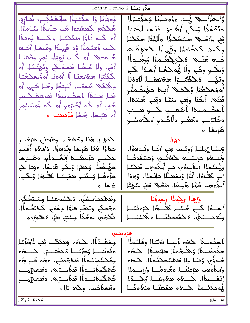حُكُوْ وْبِيبُلْ Bothar Denho 2 وَّەجْرُنَا وَا حِكَّتَـٰٓءُٕلًا حَلَّنَـٰٓعُـٰٓمِّلَـٰٓى هُـٰارُوْ. وَّامِعْزَٰاْمِیْلا لَیْ: ہوُہِدِیْنَا وَجِدَّتَیْدَاْ مَكِكُم كَعِمَتْ أَمُّت حَبُّكُمْ سَنُّوءُ!. حنّفَهُدًا وُحكّم أَهُّدو. كَنْـم لَّاحَّتـْ إ أَه كُــه أَبْلُوا مِنْكَــُـا. وكَـــد وُهِ مَا بْعِي لَمُ صَلا حِسَحَكِمَا وَلَالِمُوا حِكَكْمًا لَكْتَ وَكَسَّمَاْ وَهُ فَيْ أَرْ وَقَبَّعًا آتَــْهِ وكمه كححُمُهُ! وفَهِجُ! حَعْدِهَـ ه هُــوكُـلا. أَو كُــُـب رُودِلُمــرُومِ وِثْـدْـُـا تْ٥ هَنَـد. هَـدَجِجْعُـدَلُمْ وَوِهْـدِلْمَ أَكِّ. ولَا كَنْشَا مُحْمَدٌكُمْ وِنُجْنَبِنَا. أَهْ وَٰكُـرٖ وِكَـح واللهُ هُمكْما أَهـهُ! نَكَـح لْكَثَبَْ | مِوَّتِعِبًا لَّا أَوْوُنَا أُوتْعِكَعُبًا وِنَهَٰـــ;. هَـكَنُنْــــْ العجمَّـنعشـــا لَلْقوُنَا وِلْلِّئَلا مَٰحِمَّبٍ. أَجْوَدًا وَهَـا هَـي أَه أُهتِمكْتُنَا وَحْدْمًا أَبِيهِ حَهُبَشَمِلُر هَا هُـتِمْلَ أَحَدُّدِيكُل هُدِهِمُبْكُـدِ هَٰنَد. أَحَنًا وِبْدِ مَتْلِ هِمْي هُـتَدًا. هُدَبِ أَه لَكُمْ أَضَبُّومٍ أَه لَكُمْ ؤُومَنُتَبُّومٍ ۖ أهشَـــْمَــدْا أَهُـٰعَـــبِ كُــــرِ هُــــزبِ أَه هَبُـمُا. هُـمُا خَبْطِعُنِ \* ەڭاتېب ەڭھُىر ەلَّاھُـەر ەَݣەممُــر |هُمُـمُا \* لِكَهِـٰ;َا هُلَا وِحْتَفِعْـا. وِمُّرْحَبُ عَرْهُـــو حجزا وْسِسًا ۡ اِلۡنَا وَٰوِنَـٰٮ مِن ٱصَٰا وِنُـٰءِ وَٱلۡ: حَدَّاوُا هُنَا هَبَّىغَا وِنُوهوْا. هَ/ىهُوْ أَفَتـٰـو لمكْتب جَسْعَكُمْ إِنْغُسْمَلُمْ. وَهُسْرَهَا ولَك مَّة حَبْسَ بِهُ مَا مَكْمَ وَحَسْفُوكُ حكَمِشُماْ الْمُحْمَرُ الْمُحْكِرِ هَبُنِـهَا. دَوَّطًا لَج ويُحتَـٰمِاْا أَـٰهَٰـِـةُٯِ حـٰ أَـٰهُٰڡِڡِ هَٰـٰـُـٰـا اُسِ كَلاُهُا. ٱلْمَا وَبِعَيْنِنَا دَّائِدَا. وَهِءَا دأەفْـا وُمىسُّـو ھگىسُـا كْلُـەەُا وُمْكَــ. أَحدُه وب دَّانُا هَوَّحَمَا. هَٰدَ لا هَنَّ سَکُنْنَا خما \* وڤَدْكُدَّرُنَــهُڵٌ. هُكْسُوهُـُــل وِمَّــةَكُلُّ. وَوَجَدًا رَكِحِمَّا وَجَعَدُنَا أَحْسَدُا كُلِّي هُٰذِئْا كُلُّسْهُا لِكَبْوَدُئِيا ەھَڪّى وِنْدَعْرِ قَاوْٓا وِحُدْبِ كَلاَنْݣُـٰدَلَّا. وأَوّدكمُ). هَكْفُودِهُنُسا مِكْسُنُسا طُدةُ٥، تَفَعُدُا وسَّتَنِي هُنَهٖ هَلْدُهَ) \* وعناه وهَقَىـتُمَلًا. حــهَ٥ وَهككَـــ هِــح عَلَمُوْمَـَـل أهدُّه سِدًا لِهِ هَ وَّسُلِ هَنَّالِ وِهَاسُواً! هِدُوهُـمِدُا وَجِدُوهُ] هزَعِهِدُا. حَدَهُ ەثقىُسْما وَحَتَّىْما ەَحكَتىمْ!. كىمە وكُكْسُوُئُـٰه أَا مُكْلَّهُ مَنْ وَجِّهُ مَنْ بِهُو هُدوْوِي وَصُل ولًا هُدَمَدَكَنَّدَاًا. كَنَّهُ كَمْكُمُكُــُـمُلُّا مْكَسْــَرِيهِ. ومُعصَلِيـــرِ وإبكوهم متوصيها ومووه المسولم كَمْكُمْشُــمْلَا مْكَسِــَزِيْد. ەقىھكىــــز إِنْعُسِيدًا. لِمَسْبَهُ، هِيهُوسُسْمِ وَلِمُسْمَلَ لُهجِدُكُما اللَّــدةَ مَعْجَسُـا مِنْهُوجُــا ەقىمككىب. ولاھ ئالى مَحْدُمُا حَرْجِ ٱلْأَيْا  $\hat{L}$ 15 كَل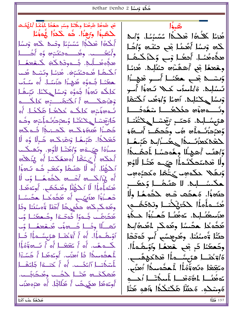Bothar Denho 2 مَكْمُوْ وْسِسًا هْمِ هَوهُا هَرِهُمُا وِهُكُمْ وِسَرِ حَمَّدًا الْأَمُّا ٱلْمَكَّــٰهِ لِكَهْرِوُّا وَرُهِزًا. ثُمَّ لَكْتُرًا هُووُّمًا أَحْدَّا مْحَكَّا مُتَّبَّطْ وَصْحَ كَدِّ وْسَلَّا وأُنُعَكَــــب. وهُــــــودُنُبْرُه وُه أُحُـــــا مذُومُكِلِّدِ. ثُـودْهْكُرْه كُنْهُمْهَا ٱلْكُلّْعَالَ هُـوْسُلَيْرَةَ. هُٰٓئِنَا وِنَسْلًا هُـب لْمَعْنَا بُدْوُه مُحْيَا النَّبَا. أَهْ مَنْ أَبَّ كَلِگُم نُهوْا فُووُه وْسُلْيكْنَا. بَبُيضًا وْفْرْهِكْتُ وَالْمُكْتَمَبْتَ وَوَالْكُنْتُ وَالْمُكْتَبَ ئەھۇش كلگە كلاھُا ھَكْحًا. أَه كَارْقِسْا كِكْنْتْمَا وُحْدَدْتُمْ أَجْرَه وَشَمَّ كَهِدًا هَٰلِهُوَكُلُهِ كَحَيْنَهُا شَمَكُه كَعْكِكًا. هَٰبُعُمَا وْاعْبْكُــْ هَـٰهِ لَا وُهِ لَٰا مسُوَّةُ الْحَكْمَةُ وَٱهْتَبَا لِلْوُمْ. وتَصَكَّب أَحكه أَ يَحْقَل أُوهِمَكْسْل أُو لِمَزْلِكُهِ ٱلحَوَّىٰلُ. أَه لَّا هِنَّىعًا وِكَعْبِ شَـْهِ نَـهوَٰا أَه لِتَزَاكَتُ: أَصْبَ لَكُمْهُمَا وَجِبَ لَلْ هُنُوذُوذُا لَا ٱلكِنْلَا وِهُمكُهُو. أُوعُوهَا. تْمِيزُوًّا هِزَيٍّ إِنَّ هُتُمكُمْ هَتُسُمْلُ وهُدكْرِكْلَا حَثَّى حُلٌّ أُحْثَلُ وُّدَمُنُنَا وَحُلَّ هَٰكُرْهَـٰٮ ذُـُدَوٗا ثُدْتَـٰۃا وِحُـٰعكَـٰـا وُب تَعَسَّلًا وضُبَّلَ ضُبِّوَنَّ مُحَمَّعَهُا وُب أَوُحِشُـٰهِ إِلَٰ ﴾ أَوْ أَوْ دُنَـٰ الْمَجْمِشُـٰهِ إِلَٰ لَـٰ الْـَـٰ الْـُـٰدَ كَمْسَمْسْ. أَو أَ حَقْفْهَا أَو أَ يُسْوَوَّهُ إِلَ أَحدُه بِما أَمَل أَهْزَبَ. أَوْجَهِ هَذَا أَرْكَبَتْرَا لَمْتِحْدَ إِلاِّ ٱعْكُــبِ. أَو أَكْتَــوْا كَلْحُفْ إِ هُعكْنَــهِ هَٰتَــا لِكُــب وهُبكُرْبَـب. أُوعَاهُدا مِنَيْجُب أَ هُلَاتْا. أَو مرَومنُت

ۿڔۏؙٳ هُٰذِيَا لَمُلْـٰهُا مْكَـٰٰهُا سُنُبُرُـٰا. وُٰآٰٰٰٓكَمْ ا كَلُّه وْسُلًّا أُهُسُلًّا هِي حَسَّه وَٱحُـلَّا هِدَّەهُمُـُـلِّ أَحِهُـل وَجِي وَجِدَّكُـمُـل وهَعدهُا بْدِ أَهدَّنْهِ دِمُلْكِمْ. هُزْسًا وُلِسْلِمْ قِيلٍ حَقَيْلاً أُسْلِنِ قَوْلِ زَٰا ئىسُلِىدْ. ةالمىدَّى كَتْلًا تَـْجَوْا أُمْـر وْسِيًا حِكْتُلِكْ. أَ9ْمَا وَإِذْهُبِ أَحْتَقَا وتُـــــه\$ة دَذَكَـــــــا سْمُهْدَـــــا فَتَوَسَيْسَهِمْ. هَجَمَعَ رَبْضَهُ. هيلِمَنْتَ ا |وَهزَمزُنَـــملّــه هُـــ وحَـمهَـــز أَنـــــهَوْ لمشترض ممائم مثمر المستنصر أَوَّاهِنَّكَ أَهْلِيُّلَا وِهُوَجِسًا لِمُحَصَّداً ولًا مْدْسَحْدْشْماْ! حَيْ؎ مَّتْـا لُّاوُم وُبِعَيْهِ مِكْمَةٍ مِنْ مَعْلَمَ مِكْتَبِهِمْ مِنْ مِنْ مِنْ مِنْ مِنْ مِنْ مِنْ هكْسُبابِهِ. لا هِنُهُــا وَجِعَـــرِ حَبُّهُو ُا. هُـعتُـُه شَـهِ لِكَـثَمِـمُّـا ولَٰا هُنُــه أُه أُا ۖ لِكُترِيْكُـَــا وِنَـٰاكَـٰفُـــهِ ۖ هَزَمِهَنُـالِـهِ. غَهِ مُنْـا خَمـزُوْا حَـكُو هُدُّەكُل هجَّىسُل وهُدىگى لم هُدەُ/بِي حَنُّنُا وُّمسُنُدَا. وهُرمِيسٌم أُس كَوتَحْدا وكَعفَنُا كَرِ بْمَع ـ هْعَمُـا وَٱوَّــفُـدأَا. ة/قِنْسًا فَ*ؤ*َمِنْـــه|أ شَكْكُوفُــــم. مَعْقَدًا مَنُوَوَّدُاْ آَحَدُ مِدًا أَهَدُ . كَمْعُنُّطْ الشَّقْشَطْ الْمِيجَّتْ الْمَحْتَ هُوسْكُمٍ. هَٰحَسُّلُ هَكْتَكُمُّا وَٱهِم هَٰتُا  $\frac{1}{\frac{1}{2}}$ 157

مَحْدُمُا حَرَّىرِ ٱلْأَمَّا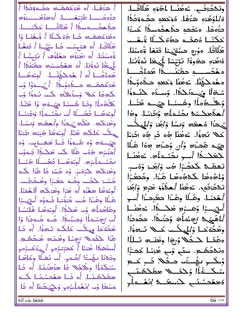أُ هِتُوْمًا. أَو هُرَكَهِهْـ ۞ حَشَّـوَوَهُمْ أَ وَتَكَذَبَكَ. غَمْضُـٰلَ لِمَهُوْهِ هَٰلَلاَثْـال ةُالمُوَهَّدَهِ هَـٰٓزُقَا. هُوْتَـٰعهِ حَشَّـٰهُ وَكُلُّا حكْمحُـــــومجُل أَ هَٰلِلتَّــــــــل تَحكُمْــــــل دَّوْدَا. وكْتْدَة جِمْحَدُّوبِيكُمْ كَجَبَّا وهَرَكَهِمْ بِهِ صَلَّ هُوَجُكُمْ أَنْ وُجِعْنَا وَا تَكْتُبِلْ هُجِدُے حِدُّةِ جُلَّا قُبِصَب هَلَلاَتْـا. أَه فَجَبِيَّـت كَـا يَتَيْتَـا أَ تَنفْـا ِ هَٰلَاتْا. دَوُرِهِ حَسَّةٍ ُ ذَا دَّتَهَا وُّدَسَّلَ. وَّْوَمِئْتُدَا. أَو اقْدَوْوَه حَمَّاؤُفَ أَ تَوَّجِنْنَا أَ هَاهَٰذِهِ حِرْهُوبُواْ لَهُنَّهُمْ لَيَحْمَلُ لَهُوَّتُمْلُ. لَّي مَثْل نُه وُتل. أَه محمَّحُسسْهِ حجَّتنُكُما أَ ممَّحَسب مِ مَثَنتُـــدًا هَملاتَـــــا مُعملِّصْــا أَه أَ ـمُّه كَهُنْــا. أُوحُه مَـــا ممُمكهُنَّا. مُمعُمَّا وَتَعجِ حَكَمَوُحَاً! هُرِكُمِمْ مِنْ كُومُ الْمُسْتَ وَقَالَ مُ |ئے قال کی حاکمہ ا، وَمساَہ حَلَسْموُا لْكُلُّوْهَا كُلْلًا وْسِلُلْلُهِ لَكْسًا شُوزًا وُب وَلِلْكُ وَاللَّهُ وَاللَّهُ عَلَى اللَّهُ عَلَيْ مِنْكُمْ الْمُؤْمَنِينَ مِنْ الْمُؤْمَنِينَ مِنْ ا لْمَدُّوُّومُ! وَصُلَّ هُسَنًّا تَهَيْدُوهِ وَا هَتْبًا. أَهِكُعِنْكُمْ بِحُمْدَاْهِ وَاثْبَتْهِ. وَهُ أُوحُوهُكُمْ دَهُمْكُمْ أَبَّ بِكُسُولًا وْرَدِّيْكُمْ وقزنكهن فكأنه يمدرًا وأحقده وبسار لَّكُمِيْدًا مَعْقُدَهُ وَسَيَا وَاهَٰذٍ وَٱلْمَحْسَبَ حكُب كَلْكُلُّه هَٰتْلْ. أُوعُوهَا هُيْتُه اجْزْعُا  $|\lambda \rangle$ كْمَا $\lambda$  نَهودُا. عَمِيدُا بِهُم كَبِ بِهُم اجَزْعًا دَيْــة ۞ وَهُــدَوُّا ثُــا قَدْمَــرَّىب. وَه  $\mathcal{A}$ حَهْد مَصْرُه وْ $\mathcal{E}_{\mathbf{t}}$ ر. وُحِبْرُه بِهِ الصَّلَا أَحَزُمْ a وَوَّى هُلَّا لَّكُ مَحْكُما قِـووَّ لحَقَفَ لَمَا أُسِي بِكَنْدِهِلُوهِ. غَوْضُنَا ا بِحَيْنِدِهِ. أُوجَعَهُنَا دُهُنَا الْأَيْنَاتِ تَعِصَّلُ لَكْتَصَاْلُ هُبَ وْأَهَدْ وَهُـبْ. وقدنكه كرَةَ بِ وَ حَسَّرَ دَٰلَ هُوَا لَكُم أَوَّلْمُوهُمْ لَكُلْمُؤُوهُمْ هُنْزَا. وِكُعِفْبُوا الْمُسَاءُ كُسًا لِكُبُّ وَكُبُّ حِعْدًا وِهُكَائِبٌ. |لَـْاحَادُهِ ). عَـهَمُلَ أَـهـكُلُوْوْ هَـْرَمِ وْأَبَعُـْوْ أُوحَهَ هَا مَعَنَّوْهُ أَه قَدْا وَقَدْ ذَكَرَهُ لْاحْمَدُا. أَهَّدُـٰـا. وِهُــاْا وِهُــْٓا حَعَٰزِحــٰٓا أُسـدِ هُـلًا وهُــْزَا حُــب كَرْفَـْلِ جُـووُهِ أَبِلَيْــرُا أَمِنِّي أَمِنَّ وَهُمْ يَوْمِ شَكْسُواً. مُوهُنَّسَا وهَٰاهُدهِ أَنْ هُدِ وَلَدهُمْ ﴾. أُوحُدهَا وَاحْسُا أَبَّ رَهِنَّــمِهْ ۖ وَحــنُبِـمُ لَــ حَـــم خُـــمِـرُ الْمَ لْمُفَيِّيهِ رَجِعَهُ أَنْ وَحَنَّيهَا. حَجَّدَا هَٰذُهَ ٰٓذَا ۚ وَلَيْكُمْ مَـٰدَا ۖ وَلَٰذَا ۖ وَلَٰذَا ۖ وَلَٰذَا ۖ وَلَٰذَا ۖ وَلَٰذَا ۖ وَلَٰذَا |وهَثَقْتُمْا وْالْمَحْمَدِ كَمْلَا سُدْوَّا. هُوَّا لِحَقُوبِ رَوِّيْا وِهُنْتُو هُبِخُتُو. ههُمْـا لِـــثُلا وَرِدْا وِمْسْـد سُـالْمَا أَسلَّعهُا هُـٰٓئِمَا أَ كَحَبِّتَـٰٓوِهِ أَ كِتْبَكَـــرَّوهِ ەتكككىم. مىگ ۋى ھُزنا كَحَتْزا وذَهْنَا بِهُــٰٓ;ا ٱخْـٰءِ.. ٱب نَعبَلًا وِكَاهَـٰـا وۡکُــوٖ یہۡـــَّبَٰٮ حــفُلاً. کَــوٖ کَـــع مَتكَدُمُ! وكُلِّكَلا دُا هزَهْبَمَا. أَه دُا سُكْــةُلُمْ وَحْدْـــلا معَكْمُنَـبِ معَدْهُنَـا. أَه ضُـا معَصِّنَنَا جُــه |ەَھمَّحِسَّىَـّـى لِأَمِيعَــْـِيْ إِنُمَّــوَلَٰمِ وْمُعَكَّا وُ ۖ إِنَّعُمْلَمُوْمٍ وَهِيَجَمَّعَا أَو ذَٰلِ

مَحْدُمُا حَرَّىرِ ٱلْأَمَّا